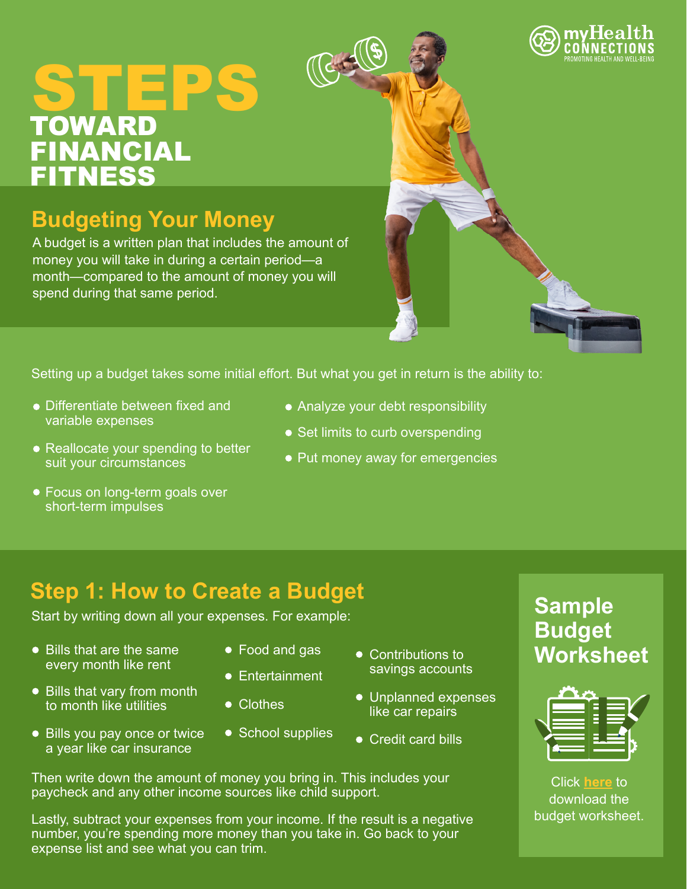# TOWARD FINANCIAL **FITNESS STEPS**

## **Budgeting Your Money**

A budget is a written plan that includes the amount of money you will take in during a certain period—a month—compared to the amount of money you will spend during that same period.

Setting up a budget takes some initial effort. But what you get in return is the ability to:

 $\mathcal{F}^{\mathcal{A}}$ 

- Differentiate between fixed and variable expenses
- Reallocate your spending to better suit your circumstances
- Focus on long-term goals over short-term impulses
- Analyze your debt responsibility
- Set limits to curb overspending
- Put money away for emergencies

# **Step 1: How to Create a Budget Sample**

Start by writing down all your expenses. For example:

- Bills that are the same every month like rent
- Bills that vary from month to month like utilities
- Bills you pay once or twice a year like car insurance
- Food and gas
- **•** Entertainment
- Clothes
- School supplies
- Contributions to savings accounts
- Unplanned expenses like car repairs
- Credit card bills

Then write down the amount of money you bring in. This includes your paycheck and any other income sources like child support.

Lastly, subtract your expenses from your income. If the result is a negative number, you're spending more money than you take in. Go back to your expense list and see what you can trim.

**Budget Worksheet**



Click **[here](https://www.consumer.gov/sites/www.consumer.gov/files/pdf-1020-make-budget-worksheet_form.pdf)** to download the budget worksheet.